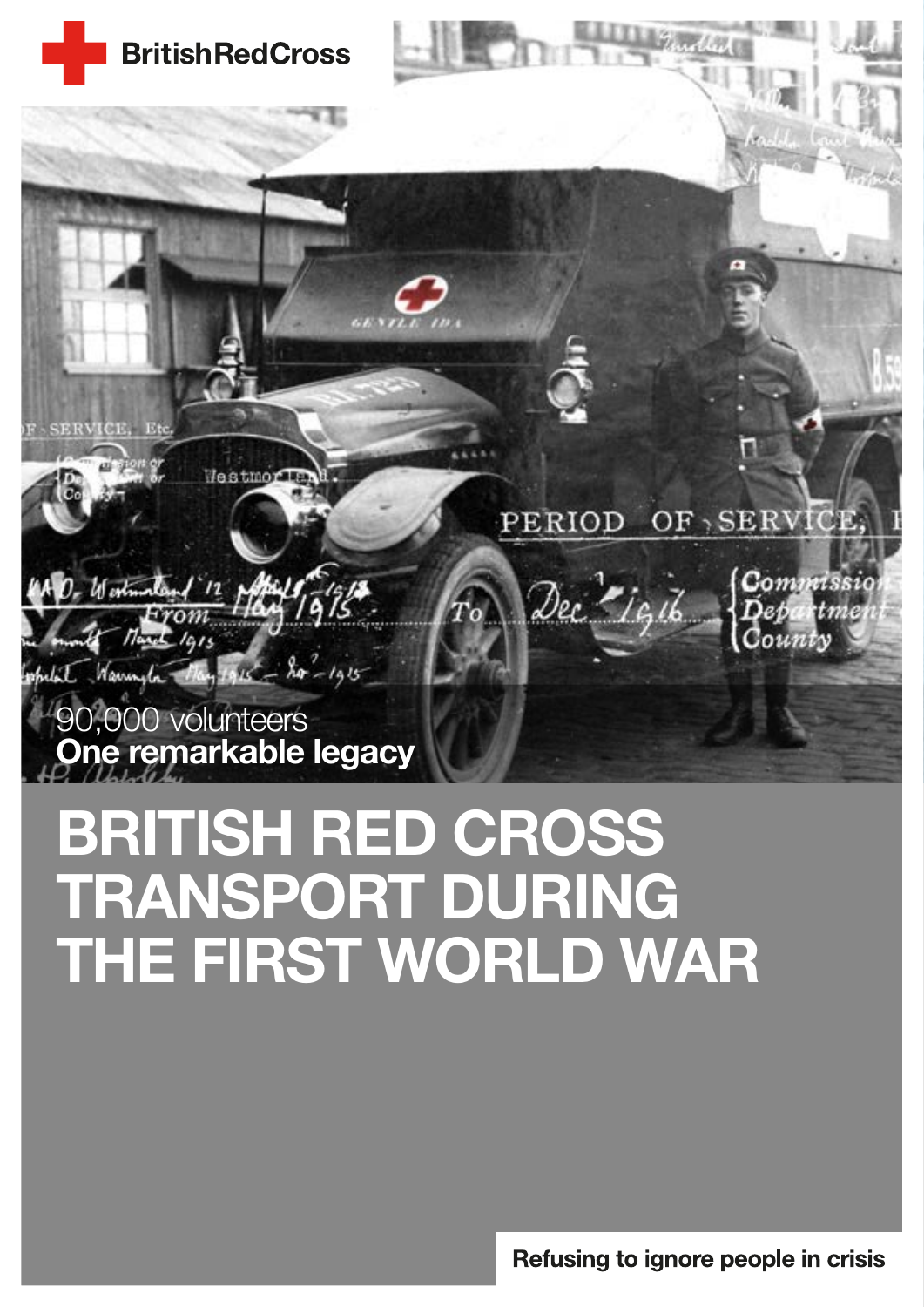

# BRITISH RED CROSS TRANSPORT DURING THE FIRST WORLD WAR

Refusing to ignore people in crisis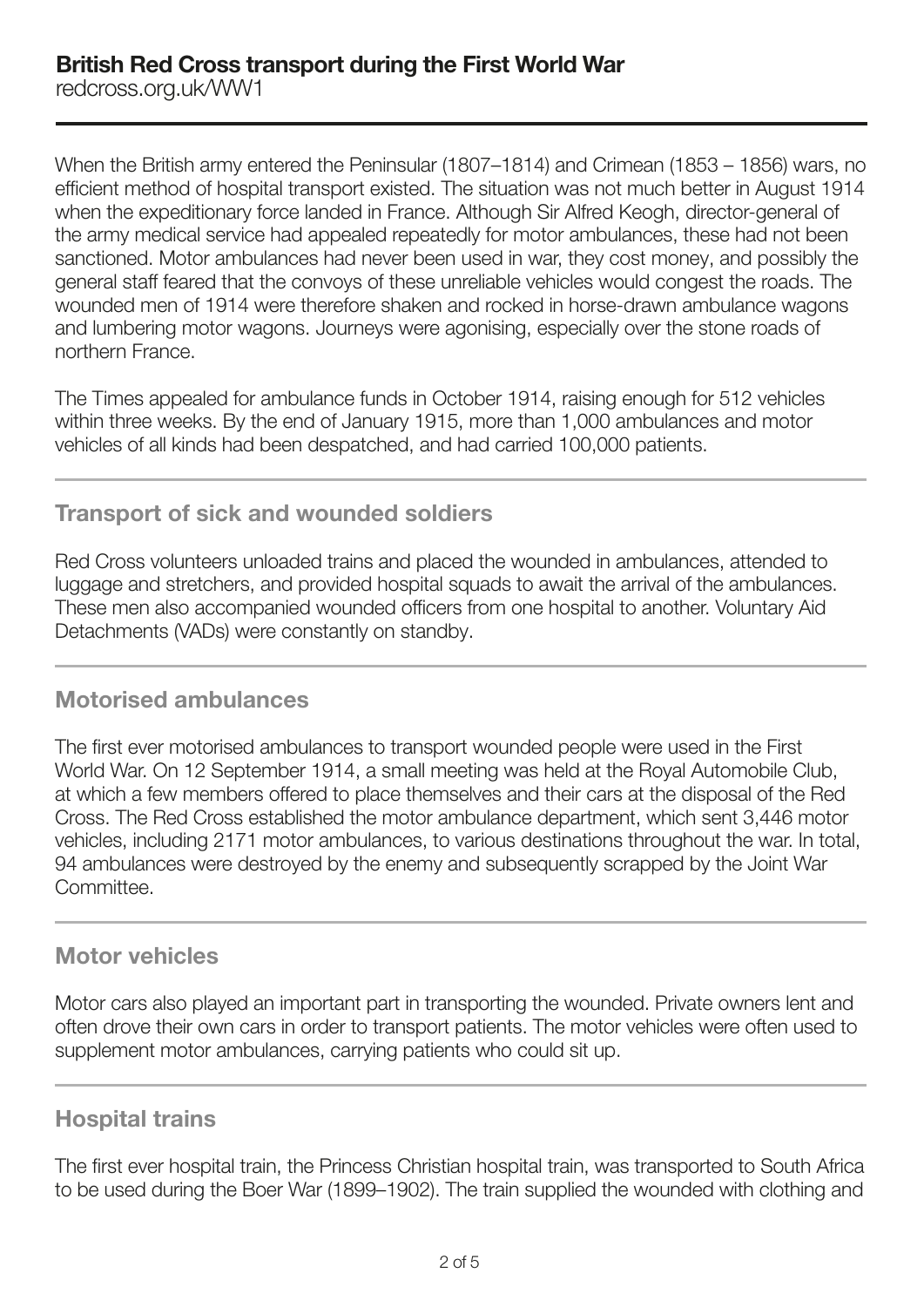When the British army entered the Peninsular (1807–1814) and Crimean (1853 – 1856) wars, no efficient method of hospital transport existed. The situation was not much better in August 1914 when the expeditionary force landed in France. Although Sir Alfred Keogh, director-general of the army medical service had appealed repeatedly for motor ambulances, these had not been sanctioned. Motor ambulances had never been used in war, they cost money, and possibly the general staff feared that the convoys of these unreliable vehicles would congest the roads. The wounded men of 1914 were therefore shaken and rocked in horse-drawn ambulance wagons and lumbering motor wagons. Journeys were agonising, especially over the stone roads of northern France.

The Times appealed for ambulance funds in October 1914, raising enough for 512 vehicles within three weeks. By the end of January 1915, more than 1,000 ambulances and motor vehicles of all kinds had been despatched, and had carried 100,000 patients.

## Transport of sick and wounded soldiers

Red Cross volunteers unloaded trains and placed the wounded in ambulances, attended to luggage and stretchers, and provided hospital squads to await the arrival of the ambulances. These men also accompanied wounded officers from one hospital to another. Voluntary Aid Detachments (VADs) were constantly on standby.

# Motorised ambulances

The first ever motorised ambulances to transport wounded people were used in the First World War. On 12 September 1914, a small meeting was held at the Royal Automobile Club, at which a few members offered to place themselves and their cars at the disposal of the Red Cross. The Red Cross established the motor ambulance department, which sent 3,446 motor vehicles, including 2171 motor ambulances, to various destinations throughout the war. In total, 94 ambulances were destroyed by the enemy and subsequently scrapped by the Joint War Committee.

## Motor vehicles

Motor cars also played an important part in transporting the wounded. Private owners lent and often drove their own cars in order to transport patients. The motor vehicles were often used to supplement motor ambulances, carrying patients who could sit up.

## Hospital trains

The first ever hospital train, the Princess Christian hospital train, was transported to South Africa to be used during the Boer War (1899–1902). The train supplied the wounded with clothing and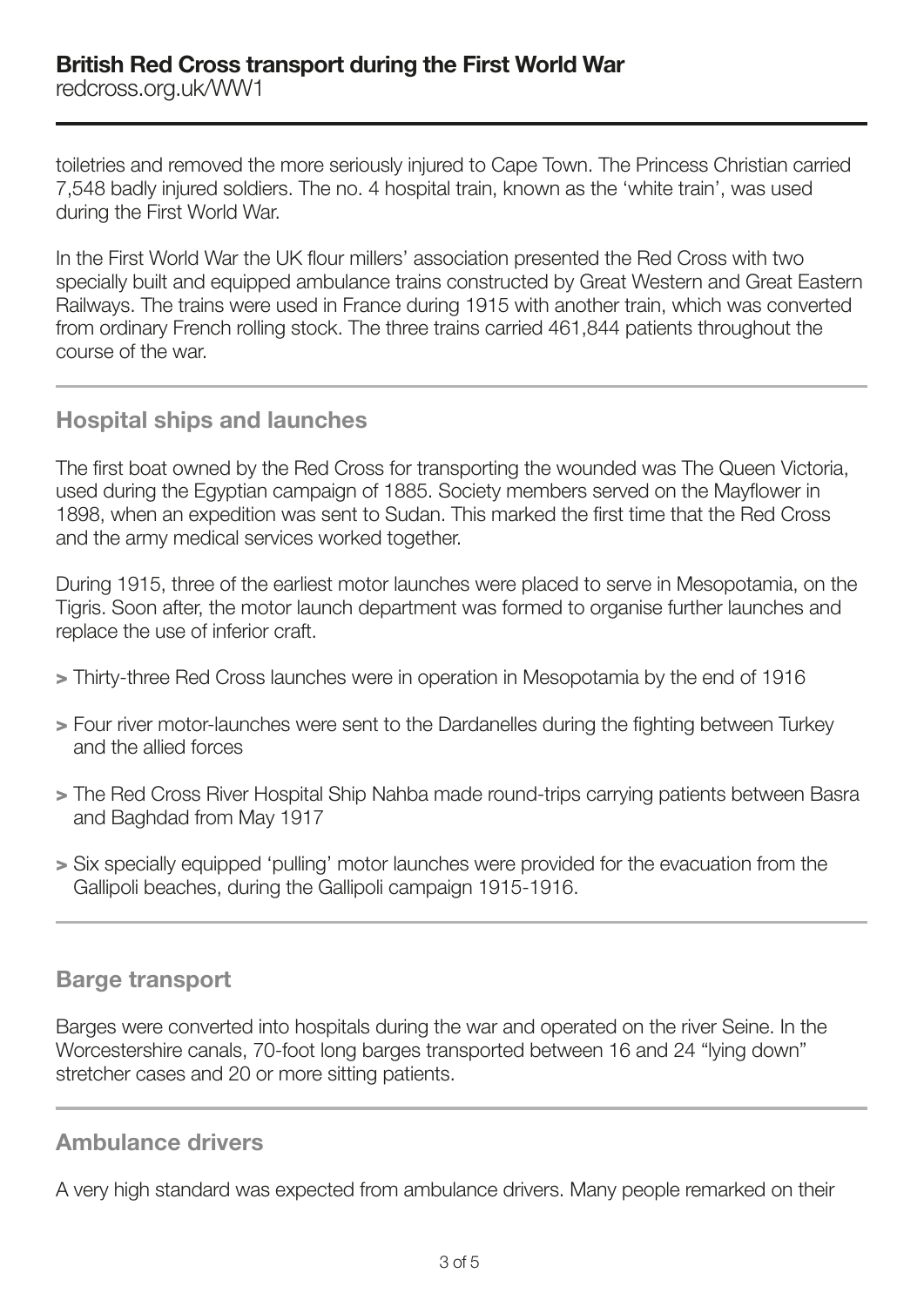toiletries and removed the more seriously injured to Cape Town. The Princess Christian carried 7,548 badly injured soldiers. The no. 4 hospital train, known as the 'white train', was used during the First World War.

In the First World War the UK flour millers' association presented the Red Cross with two specially built and equipped ambulance trains constructed by Great Western and Great Eastern Railways. The trains were used in France during 1915 with another train, which was converted from ordinary French rolling stock. The three trains carried 461,844 patients throughout the course of the war.

# Hospital ships and launches

The first boat owned by the Red Cross for transporting the wounded was The Queen Victoria, used during the Egyptian campaign of 1885. Society members served on the Mayflower in 1898, when an expedition was sent to Sudan. This marked the first time that the Red Cross and the army medical services worked together.

During 1915, three of the earliest motor launches were placed to serve in Mesopotamia, on the Tigris. Soon after, the motor launch department was formed to organise further launches and replace the use of inferior craft.

- > Thirty-three Red Cross launches were in operation in Mesopotamia by the end of 1916
- > Four river motor-launches were sent to the Dardanelles during the fighting between Turkey and the allied forces
- > The Red Cross River Hospital Ship Nahba made round-trips carrying patients between Basra and Baghdad from May 1917
- > Six specially equipped 'pulling' motor launches were provided for the evacuation from the Gallipoli beaches, during the Gallipoli campaign 1915-1916.

## Barge transport

Barges were converted into hospitals during the war and operated on the river Seine. In the Worcestershire canals, 70-foot long barges transported between 16 and 24 "Iving down" stretcher cases and 20 or more sitting patients.

# Ambulance drivers

A very high standard was expected from ambulance drivers. Many people remarked on their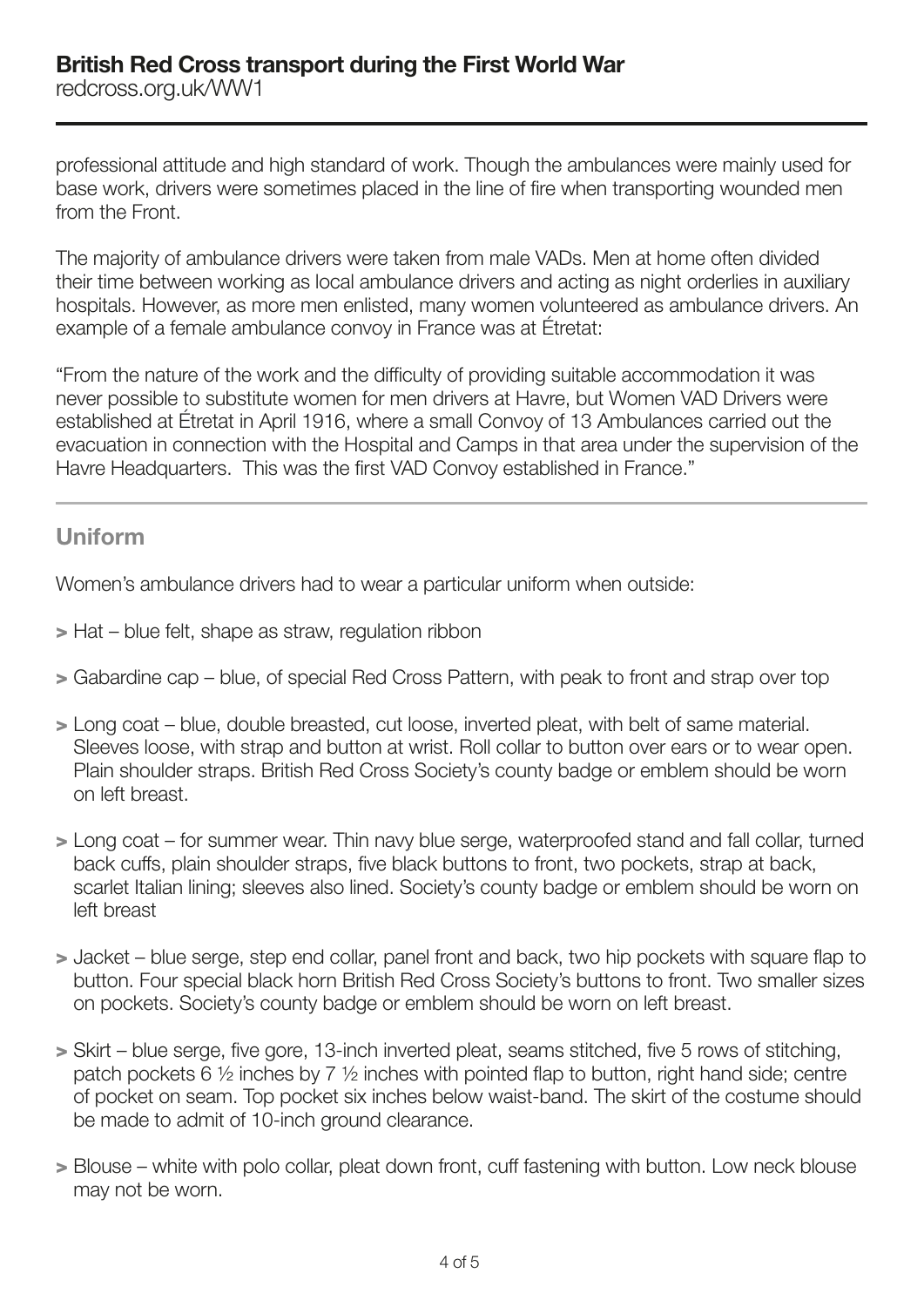professional attitude and high standard of work. Though the ambulances were mainly used for base work, drivers were sometimes placed in the line of fire when transporting wounded men from the Front.

The majority of ambulance drivers were taken from male VADs. Men at home often divided their time between working as local ambulance drivers and acting as night orderlies in auxiliary hospitals. However, as more men enlisted, many women volunteered as ambulance drivers. An example of a female ambulance convoy in France was at Étretat:

"From the nature of the work and the difficulty of providing suitable accommodation it was never possible to substitute women for men drivers at Havre, but Women VAD Drivers were established at Étretat in April 1916, where a small Convoy of 13 Ambulances carried out the evacuation in connection with the Hospital and Camps in that area under the supervision of the Havre Headquarters. This was the first VAD Convoy established in France."

# Uniform

Women's ambulance drivers had to wear a particular uniform when outside:

- > Hat blue felt, shape as straw, regulation ribbon
- > Gabardine cap blue, of special Red Cross Pattern, with peak to front and strap over top
- > Long coat blue, double breasted, cut loose, inverted pleat, with belt of same material. Sleeves loose, with strap and button at wrist. Roll collar to button over ears or to wear open. Plain shoulder straps. British Red Cross Society's county badge or emblem should be worn on left breast.
- > Long coat for summer wear. Thin navy blue serge, waterproofed stand and fall collar, turned back cuffs, plain shoulder straps, five black buttons to front, two pockets, strap at back, scarlet Italian lining; sleeves also lined. Society's county badge or emblem should be worn on left breast
- > Jacket blue serge, step end collar, panel front and back, two hip pockets with square flap to button. Four special black horn British Red Cross Society's buttons to front. Two smaller sizes on pockets. Society's county badge or emblem should be worn on left breast.
- > Skirt blue serge, five gore, 13-inch inverted pleat, seams stitched, five 5 rows of stitching, patch pockets 6 ½ inches by 7 ½ inches with pointed flap to button, right hand side; centre of pocket on seam. Top pocket six inches below waist-band. The skirt of the costume should be made to admit of 10-inch ground clearance.
- > Blouse white with polo collar, pleat down front, cuff fastening with button. Low neck blouse may not be worn.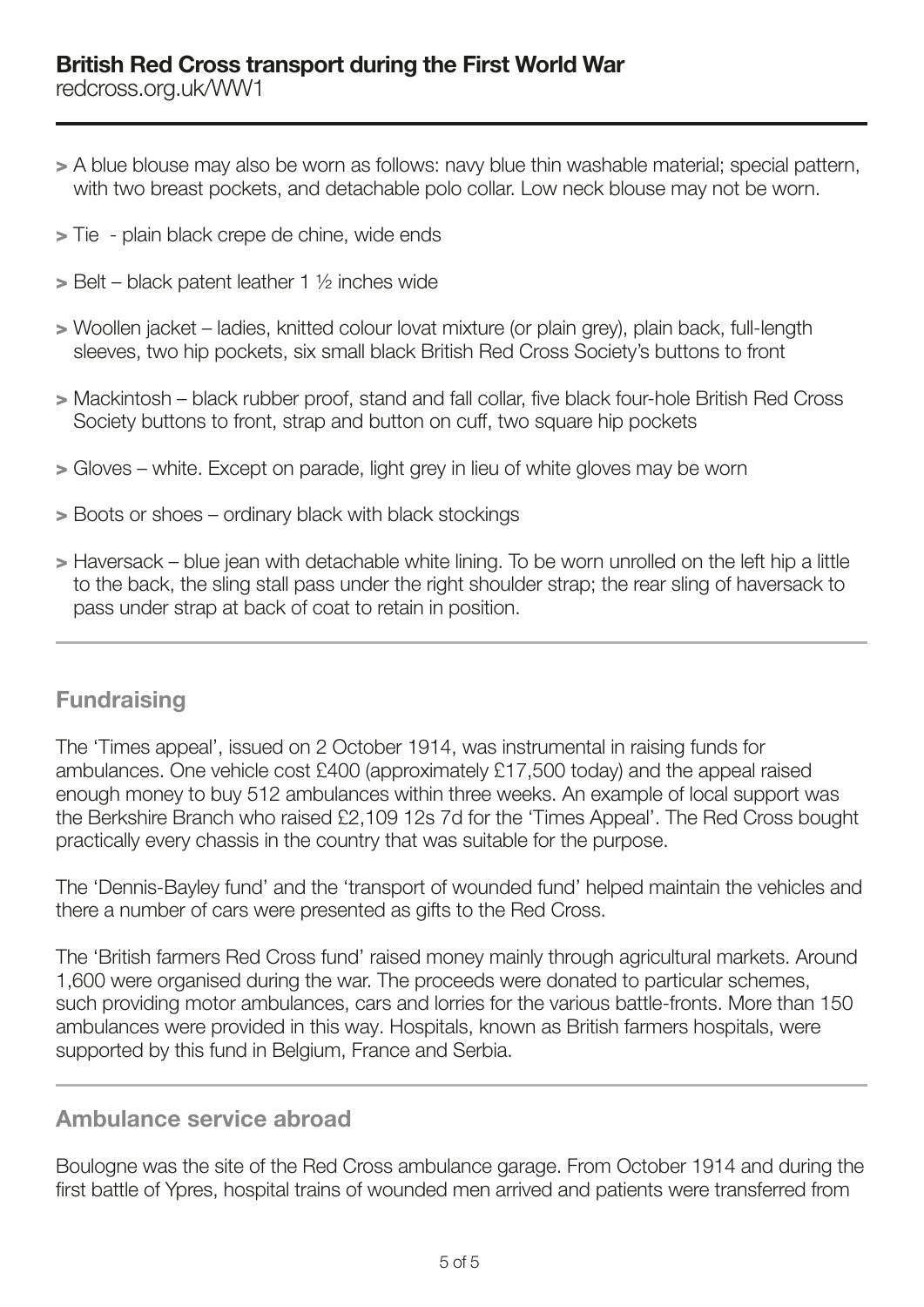- > A blue blouse may also be worn as follows: navy blue thin washable material; special pattern, with two breast pockets, and detachable polo collar. Low neck blouse may not be worn.
- > Tie plain black crepe de chine, wide ends
- $>$  Belt black patent leather 1  $\frac{1}{2}$  inches wide
- > Woollen jacket ladies, knitted colour lovat mixture (or plain grey), plain back, full-length sleeves, two hip pockets, six small black British Red Cross Society's buttons to front
- > Mackintosh black rubber proof, stand and fall collar, five black four-hole British Red Cross Society buttons to front, strap and button on cuff, two square hip pockets
- > Gloves white. Except on parade, light grey in lieu of white gloves may be worn
- > Boots or shoes ordinary black with black stockings
- > Haversack blue jean with detachable white lining. To be worn unrolled on the left hip a little to the back, the sling stall pass under the right shoulder strap; the rear sling of haversack to pass under strap at back of coat to retain in position.

# **Fundraising**

The 'Times appeal', issued on 2 October 1914, was instrumental in raising funds for ambulances. One vehicle cost £400 (approximately £17,500 today) and the appeal raised enough money to buy 512 ambulances within three weeks. An example of local support was the Berkshire Branch who raised £2,109 12s 7d for the 'Times Appeal'. The Red Cross bought practically every chassis in the country that was suitable for the purpose.

The 'Dennis-Bayley fund' and the 'transport of wounded fund' helped maintain the vehicles and there a number of cars were presented as gifts to the Red Cross.

The 'British farmers Red Cross fund' raised money mainly through agricultural markets. Around 1,600 were organised during the war. The proceeds were donated to particular schemes, such providing motor ambulances, cars and lorries for the various battle-fronts. More than 150 ambulances were provided in this way. Hospitals, known as British farmers hospitals, were supported by this fund in Belgium, France and Serbia.

## Ambulance service abroad

Boulogne was the site of the Red Cross ambulance garage. From October 1914 and during the first battle of Ypres, hospital trains of wounded men arrived and patients were transferred from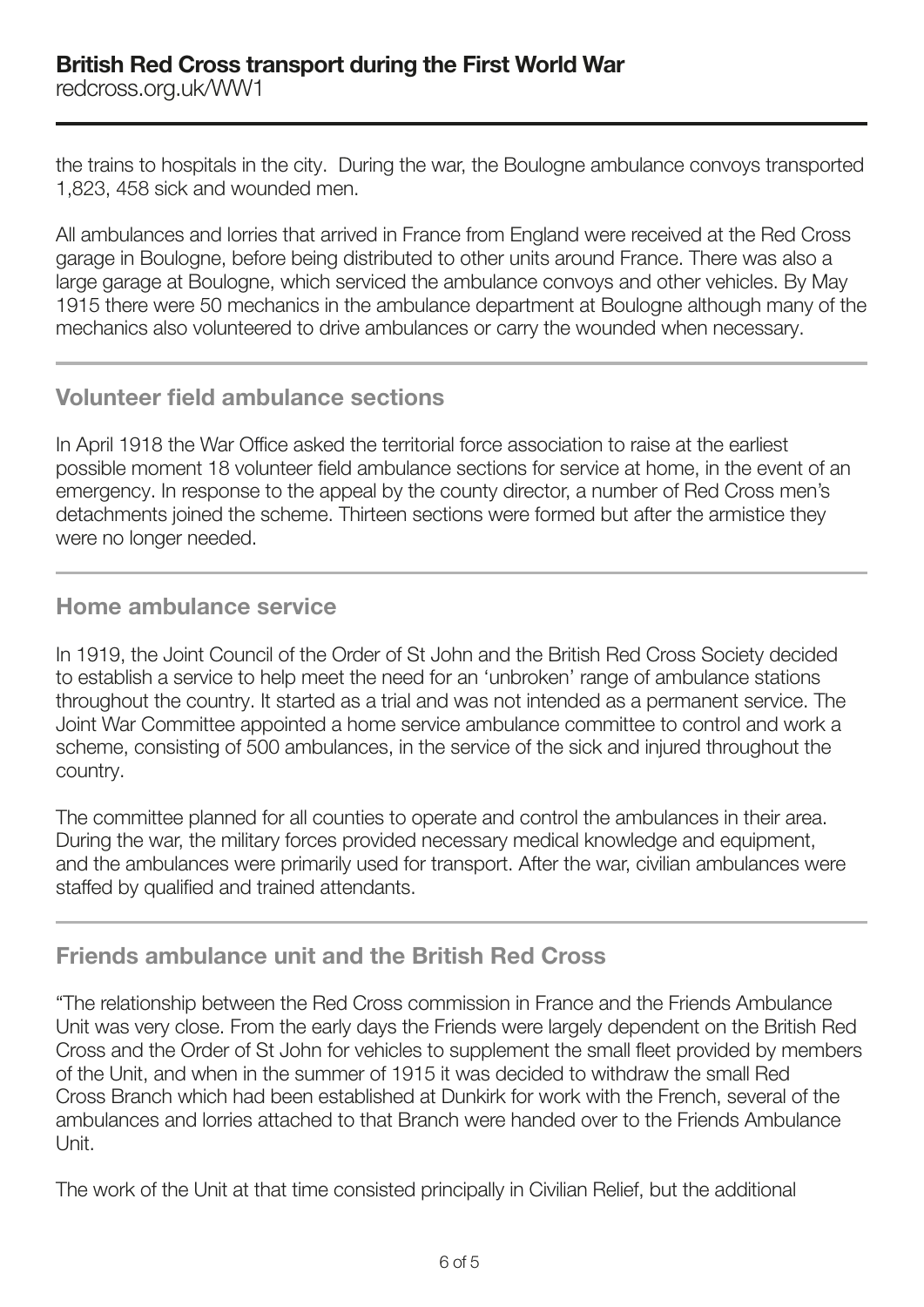the trains to hospitals in the city. During the war, the Boulogne ambulance convoys transported 1,823, 458 sick and wounded men.

All ambulances and lorries that arrived in France from England were received at the Red Cross garage in Boulogne, before being distributed to other units around France. There was also a large garage at Boulogne, which serviced the ambulance convoys and other vehicles. By May 1915 there were 50 mechanics in the ambulance department at Boulogne although many of the mechanics also volunteered to drive ambulances or carry the wounded when necessary.

# Volunteer field ambulance sections

In April 1918 the War Office asked the territorial force association to raise at the earliest possible moment 18 volunteer field ambulance sections for service at home, in the event of an emergency. In response to the appeal by the county director, a number of Red Cross men's detachments joined the scheme. Thirteen sections were formed but after the armistice they were no longer needed.

## Home ambulance service

In 1919, the Joint Council of the Order of St John and the British Red Cross Society decided to establish a service to help meet the need for an 'unbroken' range of ambulance stations throughout the country. It started as a trial and was not intended as a permanent service. The Joint War Committee appointed a home service ambulance committee to control and work a scheme, consisting of 500 ambulances, in the service of the sick and injured throughout the country.

The committee planned for all counties to operate and control the ambulances in their area. During the war, the military forces provided necessary medical knowledge and equipment, and the ambulances were primarily used for transport. After the war, civilian ambulances were staffed by qualified and trained attendants.

# Friends ambulance unit and the British Red Cross

"The relationship between the Red Cross commission in France and the Friends Ambulance Unit was very close. From the early days the Friends were largely dependent on the British Red Cross and the Order of St John for vehicles to supplement the small fleet provided by members of the Unit, and when in the summer of 1915 it was decided to withdraw the small Red Cross Branch which had been established at Dunkirk for work with the French, several of the ambulances and lorries attached to that Branch were handed over to the Friends Ambulance Unit.

The work of the Unit at that time consisted principally in Civilian Relief, but the additional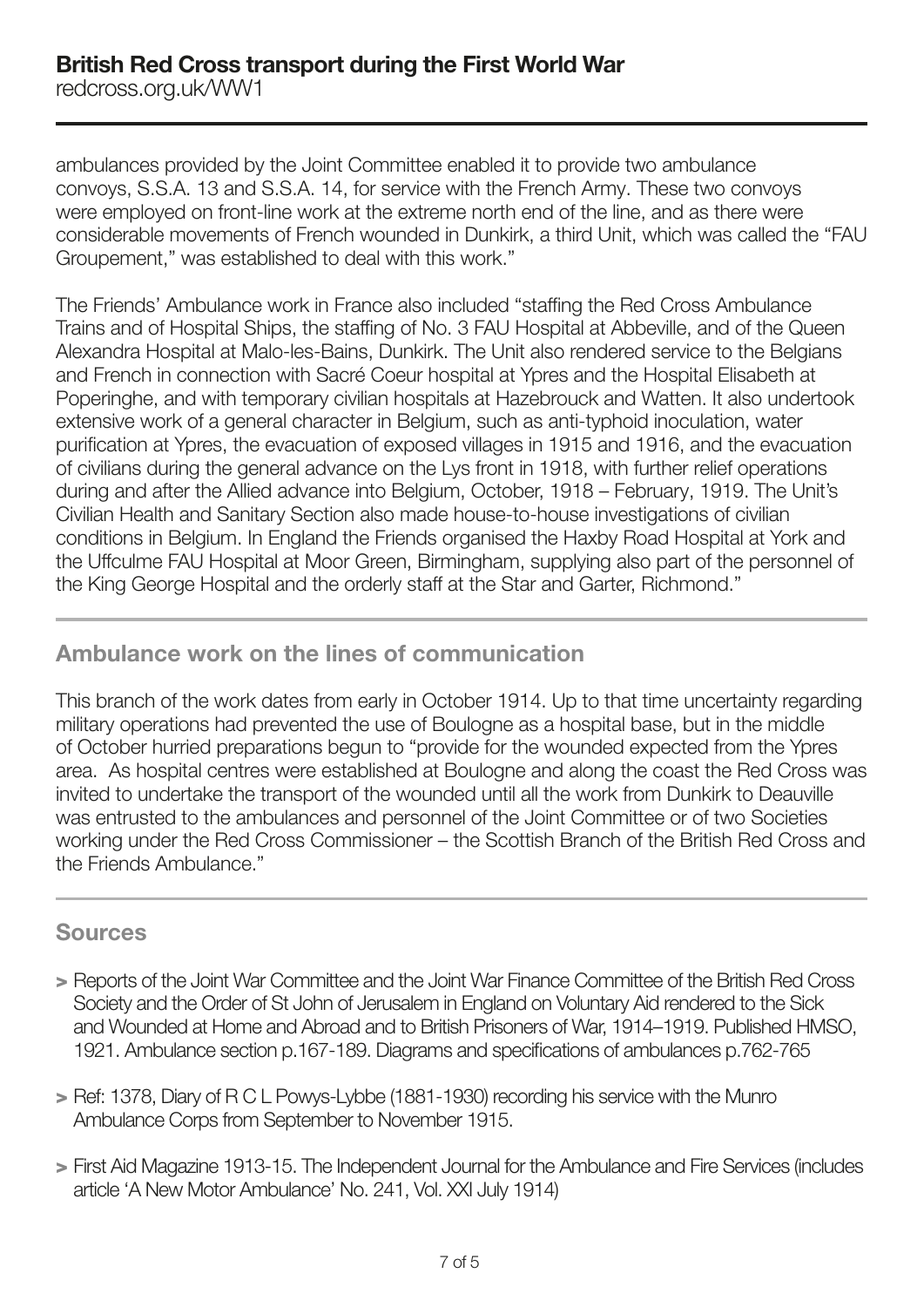ambulances provided by the Joint Committee enabled it to provide two ambulance convoys, S.S.A. 13 and S.S.A. 14, for service with the French Army. These two convoys were employed on front-line work at the extreme north end of the line, and as there were considerable movements of French wounded in Dunkirk, a third Unit, which was called the "FAU Groupement," was established to deal with this work."

The Friends' Ambulance work in France also included "staffing the Red Cross Ambulance Trains and of Hospital Ships, the staffing of No. 3 FAU Hospital at Abbeville, and of the Queen Alexandra Hospital at Malo-les-Bains, Dunkirk. The Unit also rendered service to the Belgians and French in connection with Sacré Coeur hospital at Ypres and the Hospital Elisabeth at Poperinghe, and with temporary civilian hospitals at Hazebrouck and Watten. It also undertook extensive work of a general character in Belgium, such as anti-typhoid inoculation, water purification at Ypres, the evacuation of exposed villages in 1915 and 1916, and the evacuation of civilians during the general advance on the Lys front in 1918, with further relief operations during and after the Allied advance into Belgium, October, 1918 – February, 1919. The Unit's Civilian Health and Sanitary Section also made house-to-house investigations of civilian conditions in Belgium. In England the Friends organised the Haxby Road Hospital at York and the Uffculme FAU Hospital at Moor Green, Birmingham, supplying also part of the personnel of the King George Hospital and the orderly staff at the Star and Garter, Richmond."

## Ambulance work on the lines of communication

This branch of the work dates from early in October 1914. Up to that time uncertainty regarding military operations had prevented the use of Boulogne as a hospital base, but in the middle of October hurried preparations begun to "provide for the wounded expected from the Ypres area. As hospital centres were established at Boulogne and along the coast the Red Cross was invited to undertake the transport of the wounded until all the work from Dunkirk to Deauville was entrusted to the ambulances and personnel of the Joint Committee or of two Societies working under the Red Cross Commissioner – the Scottish Branch of the British Red Cross and the Friends Ambulance."

## Sources

- > Reports of the Joint War Committee and the Joint War Finance Committee of the British Red Cross Society and the Order of St John of Jerusalem in England on Voluntary Aid rendered to the Sick and Wounded at Home and Abroad and to British Prisoners of War, 1914–1919. Published HMSO, 1921. Ambulance section p.167-189. Diagrams and specifications of ambulances p.762-765
- > Ref: 1378, Diary of R C L Powys-Lybbe (1881-1930) recording his service with the Munro Ambulance Corps from September to November 1915.
- > First Aid Magazine 1913-15. The Independent Journal for the Ambulance and Fire Services (includes article 'A New Motor Ambulance' No. 241, Vol. XXI July 1914)